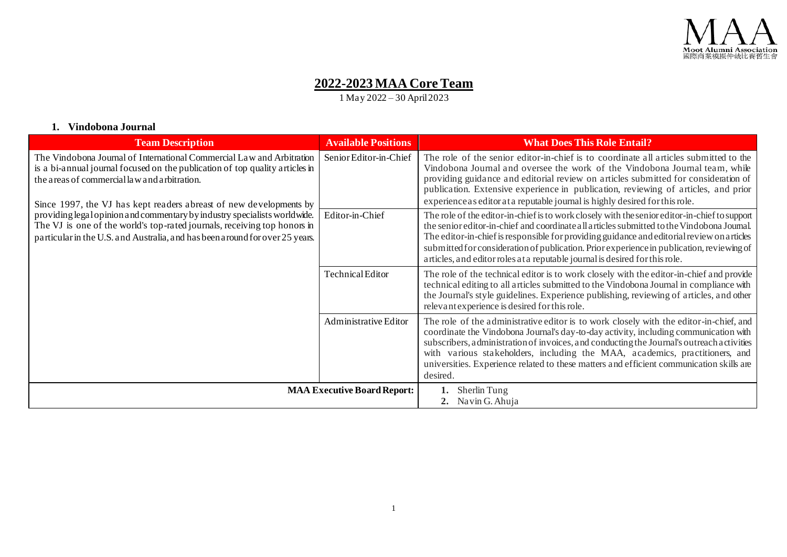

# **2022-2023 MAA Core Team**

1 May 2022 – 30 April 2023

#### **1. Vindobona Journal**

| <b>Team Description</b>                                                                                                                                                                                                                                                     | <b>Available Positions</b>         | <b>What Does This Role Entail?</b>                                                                                                                                                                                                                                                                                                                                                                                                                                    |
|-----------------------------------------------------------------------------------------------------------------------------------------------------------------------------------------------------------------------------------------------------------------------------|------------------------------------|-----------------------------------------------------------------------------------------------------------------------------------------------------------------------------------------------------------------------------------------------------------------------------------------------------------------------------------------------------------------------------------------------------------------------------------------------------------------------|
| The Vindobona Journal of International Commercial Law and Arbitration<br>is a bi-annual journal focused on the publication of top quality articles in<br>the areas of commercial law and arbitration.<br>Since 1997, the VJ has kept readers abreast of new developments by | Senior Editor-in-Chief             | The role of the senior editor-in-chief is to coordinate all articles submitted to the<br>Vindobona Journal and oversee the work of the Vindobona Journal team, while<br>providing guidance and editorial review on articles submitted for consideration of<br>publication. Extensive experience in publication, reviewing of articles, and prior<br>experience as editor at a reputable journal is highly desired for this role.                                      |
| providing legal opinion and commentary by industry specialists worldwide.<br>The VJ is one of the world's top-rated journals, receiving top honors in<br>particular in the U.S. and Australia, and has been around for over 25 years.                                       | Editor-in-Chief                    | The role of the editor-in-chief is to work closely with the senior editor-in-chief to support<br>the senior editor-in-chief and coordinate all articles submitted to the Vindobona Journal.<br>The editor-in-chief is responsible for providing guidance and editorial review on articles<br>submitted for consideration of publication. Prior experience in publication, reviewing of<br>articles, and editor roles at a reputable journal is desired for this role. |
|                                                                                                                                                                                                                                                                             | <b>Technical Editor</b>            | The role of the technical editor is to work closely with the editor-in-chief and provide<br>technical editing to all articles submitted to the Vindobona Journal in compliance with<br>the Journal's style guidelines. Experience publishing, reviewing of articles, and other<br>relevant experience is desired for this role.                                                                                                                                       |
|                                                                                                                                                                                                                                                                             | Administrative Editor              | The role of the administrative editor is to work closely with the editor-in-chief, and<br>coordinate the Vindobona Journal's day-to-day activity, including communication with<br>subscribers, a dministration of invoices, and conducting the Journal's outreach activities<br>with various stakeholders, including the MAA, academics, practitioners, and<br>universities. Experience related to these matters and efficient communication skills are<br>desired.   |
|                                                                                                                                                                                                                                                                             | <b>MAA Executive Board Report:</b> | Sherlin Tung<br>2. Navin G. Ahuja                                                                                                                                                                                                                                                                                                                                                                                                                                     |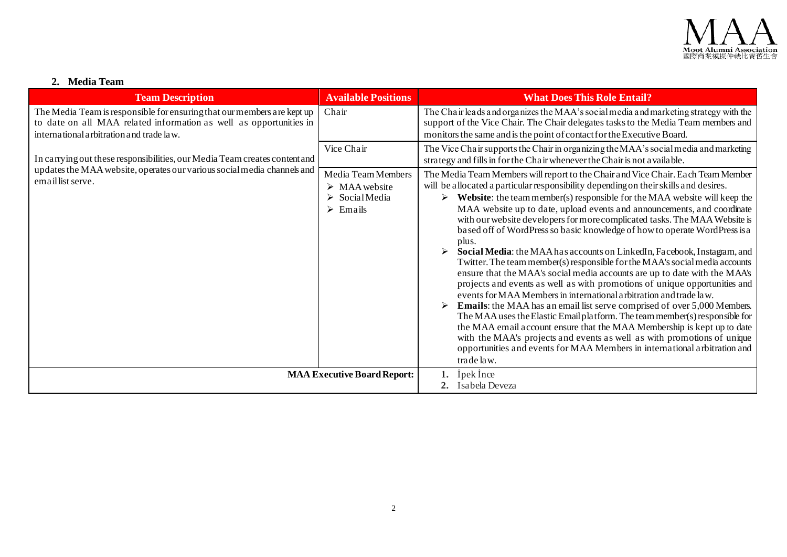

## **2. Media Team**

| <b>Team Description</b>                                                                                                                                                                   | <b>Available Positions</b>                                                                                     | <b>What Does This Role Entail?</b>                                                                                                                                                                                                                                                                                                                                                                                                                                                                                                                                                                                                                                                                                                                                                                                                                                                                                                                                                                                                                                                                                                                                                                                                                                                                                         |
|-------------------------------------------------------------------------------------------------------------------------------------------------------------------------------------------|----------------------------------------------------------------------------------------------------------------|----------------------------------------------------------------------------------------------------------------------------------------------------------------------------------------------------------------------------------------------------------------------------------------------------------------------------------------------------------------------------------------------------------------------------------------------------------------------------------------------------------------------------------------------------------------------------------------------------------------------------------------------------------------------------------------------------------------------------------------------------------------------------------------------------------------------------------------------------------------------------------------------------------------------------------------------------------------------------------------------------------------------------------------------------------------------------------------------------------------------------------------------------------------------------------------------------------------------------------------------------------------------------------------------------------------------------|
| The Media Team is responsible for ensuring that our members are kept up<br>to date on all MAA related information as well as opportunities in<br>international arbitration and trade law. | Chair                                                                                                          | The Chair leads and organizes the MAA's social media and marketing strategy with the<br>support of the Vice Chair. The Chair delegates tasks to the Media Team members and<br>monitors the same and is the point of contact for the Executive Board.                                                                                                                                                                                                                                                                                                                                                                                                                                                                                                                                                                                                                                                                                                                                                                                                                                                                                                                                                                                                                                                                       |
| In carrying out these responsibilities, our Media Team creates content and                                                                                                                | Vice Chair                                                                                                     | The Vice Chair supports the Chair in organizing the MAA's social media and marketing<br>strategy and fills in for the Chair whenever the Chair is not a vailable.                                                                                                                                                                                                                                                                                                                                                                                                                                                                                                                                                                                                                                                                                                                                                                                                                                                                                                                                                                                                                                                                                                                                                          |
| updates the MAA website, operates our various social media channels and<br>email list serve.                                                                                              | Media Team Members<br>$\triangleright$ MAA website<br>$\triangleright$ Social Media<br>$\triangleright$ Emails | The Media Team Members will report to the Chair and Vice Chair. Each Team Member<br>will be a llocated a particular responsibility depending on their skills and desires.<br>Website: the team member(s) responsible for the MAA website will keep the<br>➤<br>MAA website up to date, upload events and announcements, and coordinate<br>with our website developers for more complicated tasks. The MAA Website is<br>based off of WordPress so basic knowledge of how to operate WordPress is a<br>plus.<br>Social Media: the MAA has accounts on LinkedIn, Facebook, Instagram, and<br>Twitter. The team member(s) responsible for the MAA's social media accounts<br>ensure that the MAA's social media accounts are up to date with the MAA's<br>projects and events as well as with promotions of unique opportunities and<br>events for MAA Members in international arbitration and trade law.<br><b>Emails:</b> the MAA has an email list serve comprised of over 5,000 Members.<br>The MAA uses the Elastic Email platform. The team member(s) responsible for<br>the MAA email account ensure that the MAA Membership is kept up to date<br>with the MAA's projects and events as well as with promotions of unique<br>opportunities and events for MAA Members in international arbitration and<br>trade law. |
|                                                                                                                                                                                           | <b>MAA Executive Board Report:</b>                                                                             | <i>i</i> pek Ince<br>2. Isabela Deveza                                                                                                                                                                                                                                                                                                                                                                                                                                                                                                                                                                                                                                                                                                                                                                                                                                                                                                                                                                                                                                                                                                                                                                                                                                                                                     |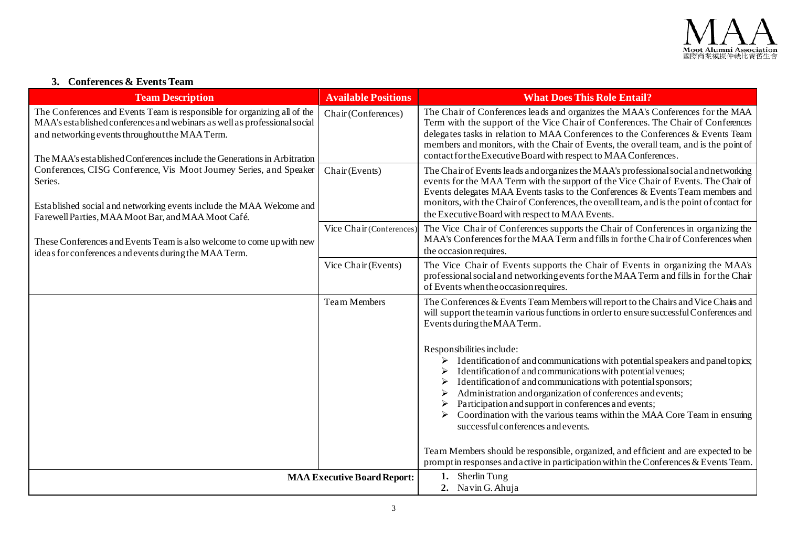

# **3. Conferences & Events Team**

| <b>Team Description</b>                                                                                                                                                                                                                                                             | <b>Available Positions</b>         | <b>What Does This Role Entail?</b>                                                                                                                                                                                                                                                                                                                                                                                                                                                            |
|-------------------------------------------------------------------------------------------------------------------------------------------------------------------------------------------------------------------------------------------------------------------------------------|------------------------------------|-----------------------------------------------------------------------------------------------------------------------------------------------------------------------------------------------------------------------------------------------------------------------------------------------------------------------------------------------------------------------------------------------------------------------------------------------------------------------------------------------|
| The Conferences and Events Team is responsible for organizing all of the<br>MAA's established conferences and webinars as well as professional social<br>and networking events throughout the MAA Term.<br>The MAA's established Conferences include the Generations in Arbitration | Chair (Conferences)                | The Chair of Conferences leads and organizes the MAA's Conferences for the MAA<br>Term with the support of the Vice Chair of Conferences. The Chair of Conferences<br>delegates tasks in relation to MAA Conferences to the Conferences & Events Team<br>members and monitors, with the Chair of Events, the overall team, and is the point of<br>contact for the Executive Board with respect to MAA Conferences.                                                                            |
| Conferences, CISG Conference, Vis Moot Journey Series, and Speaker<br>Series.<br>Established social and networking events include the MAA Welcome and<br>Farewell Parties, MAA Moot Bar, and MAA Moot Café.                                                                         | Chair (Events)                     | The Chair of Events leads and organizes the MAA's professional social and networking<br>events for the MAA Term with the support of the Vice Chair of Events. The Chair of<br>Events delegates MAA Events tasks to the Conferences & Events Team members and<br>monitors, with the Chair of Conferences, the overall team, and is the point of contact for<br>the Executive Board with respect to MAA Events.                                                                                 |
| These Conferences and Events Team is also welcome to come up with new<br>ideas for conferences and events during the MAA Term.                                                                                                                                                      | Vice Chair (Conferences)           | The Vice Chair of Conferences supports the Chair of Conferences in organizing the<br>MAA's Conferences for the MAA Term and fills in for the Chair of Conferences when<br>the occasion requires.                                                                                                                                                                                                                                                                                              |
|                                                                                                                                                                                                                                                                                     | Vice Chair (Events)                | The Vice Chair of Events supports the Chair of Events in organizing the MAA's<br>professional social and networking events for the MAA Term and fills in for the Chair<br>of Events when the occasion requires.                                                                                                                                                                                                                                                                               |
|                                                                                                                                                                                                                                                                                     | <b>Team Members</b>                | The Conferences & Events Team Members will report to the Chairs and Vice Chairs and<br>will support the team in various functions in order to ensure successful Conferences and<br>Events during the MAA Term.                                                                                                                                                                                                                                                                                |
|                                                                                                                                                                                                                                                                                     |                                    | Responsibilities include:<br>Identification of and communications with potential speakers and panel topics;<br>Identification of and communications with potential venues;<br>Identification of and communications with potential sponsors;<br>➤<br>Administration and organization of conferences and events;<br>Participation and support in conferences and events;<br>➤<br>Coordination with the various teams within the MAA Core Team in ensuring<br>successful conferences and events. |
|                                                                                                                                                                                                                                                                                     |                                    | Team Members should be responsible, organized, and efficient and are expected to be<br>prompt in responses and active in participation within the Conferences $&$ Events Team.                                                                                                                                                                                                                                                                                                                |
|                                                                                                                                                                                                                                                                                     | <b>MAA Executive Board Report:</b> | 1. Sherlin Tung<br>2. Navin G. Ahuja                                                                                                                                                                                                                                                                                                                                                                                                                                                          |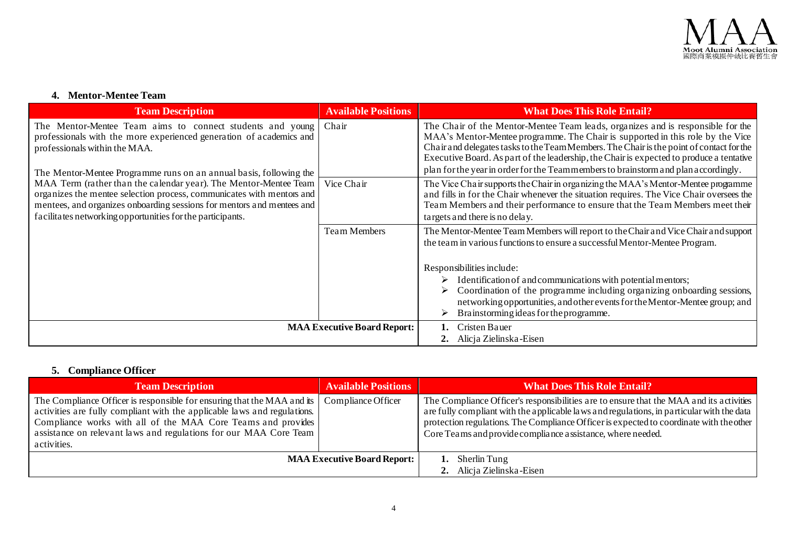

### **4. Mentor-Mentee Team**

| <b>Team Description</b>                                                                                                                                                                                                                                                                        | <b>Available Positions</b>         | <b>What Does This Role Entail?</b>                                                                                                                                                                                                                                                                                                                                                                                                              |
|------------------------------------------------------------------------------------------------------------------------------------------------------------------------------------------------------------------------------------------------------------------------------------------------|------------------------------------|-------------------------------------------------------------------------------------------------------------------------------------------------------------------------------------------------------------------------------------------------------------------------------------------------------------------------------------------------------------------------------------------------------------------------------------------------|
| The Mentor-Mentee Team aims to connect students and young<br>professionals with the more experienced generation of academics and<br>professionals within the MAA.<br>The Mentor-Mentee Programme runs on an annual basis, following the                                                        | Chair                              | The Chair of the Mentor-Mentee Team leads, organizes and is responsible for the<br>MAA's Mentor-Mentee programme. The Chair is supported in this role by the Vice<br>Chair and delegates tasks to the Team Members. The Chair is the point of contact for the<br>Executive Board. As part of the leadership, the Chair is expected to produce a tentative<br>plan for the year in order for the Teammembers to brainstorm and plan accordingly. |
| MAA Term (rather than the calendar year). The Mentor-Mentee Team   Vice Chair<br>organizes the mentee selection process, communicates with mentors and<br>mentees, and organizes onboarding sessions for mentors and mentees and<br>facilitates networking opportunities for the participants. |                                    | The Vice Chair supports the Chair in organizing the MAA's Mentor-Mentee programme<br>and fills in for the Chair whenever the situation requires. The Vice Chair oversees the<br>Team Members and their performance to ensure that the Team Members meet their<br>targets and there is no delay.                                                                                                                                                 |
|                                                                                                                                                                                                                                                                                                | Team Members                       | The Mentor-Mentee Team Members will report to the Chair and Vice Chair and support<br>the team in various functions to ensure a successful Mentor-Mentee Program.                                                                                                                                                                                                                                                                               |
|                                                                                                                                                                                                                                                                                                |                                    | Responsibilities include:<br>Identification of and communications with potential mentors;<br>Coordination of the programme including organizing onboarding sessions,<br>networking opportunities, and other events for the Mentor-Mentee group; and<br>Brainstorming ideas for the programme.                                                                                                                                                   |
|                                                                                                                                                                                                                                                                                                | <b>MAA Executive Board Report:</b> | Cristen Bauer<br>2. Alicja Zielinska-Eisen                                                                                                                                                                                                                                                                                                                                                                                                      |

# **5. Compliance Officer**

| <b>Team Description</b>                                                                                                                                                                                                                                                                                 | <b>Available Positions</b> | <b>What Does This Role Entail?</b>                                                                                                                                                                                                                                                                                                             |
|---------------------------------------------------------------------------------------------------------------------------------------------------------------------------------------------------------------------------------------------------------------------------------------------------------|----------------------------|------------------------------------------------------------------------------------------------------------------------------------------------------------------------------------------------------------------------------------------------------------------------------------------------------------------------------------------------|
| The Compliance Officer is responsible for ensuring that the MAA and its<br>activities are fully compliant with the applicable laws and regulations.<br>Compliance works with all of the MAA Core Teams and provides<br>assistance on relevant laws and regulations for our MAA Core Team<br>activities. | Compliance Officer         | The Compliance Officer's responsibilities are to ensure that the MAA and its activities<br>are fully compliant with the applicable laws and regulations, in particular with the data<br>protection regulations. The Compliance Officer is expected to coordinate with the other<br>Core Teams and provide compliance assistance, where needed. |
| <b>MAA Executive Board Report:</b>                                                                                                                                                                                                                                                                      |                            | Sherlin Tung<br>2. Alicja Zielinska-Eisen                                                                                                                                                                                                                                                                                                      |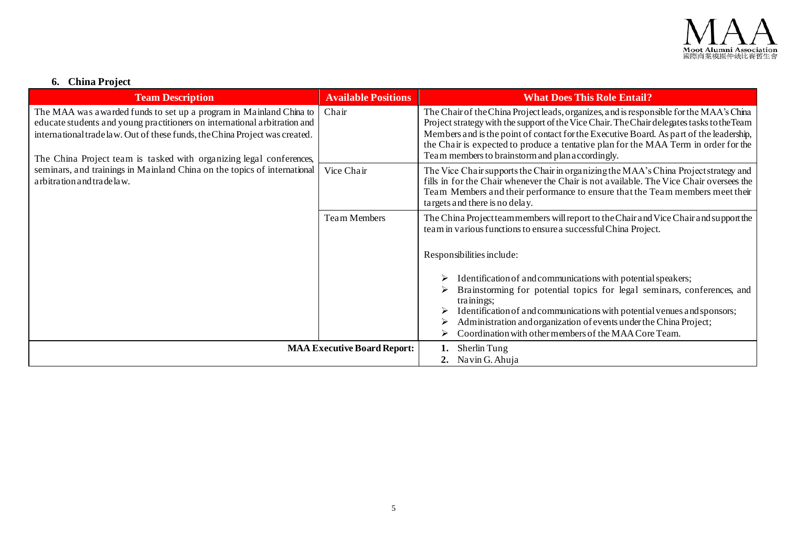

# **6. China Project**

| <b>Team Description</b>                                                                                                                                                                                                                                                                               | <b>Available Positions</b>         | <b>What Does This Role Entail?</b>                                                                                                                                                                                                                                                                                                                                                                                          |
|-------------------------------------------------------------------------------------------------------------------------------------------------------------------------------------------------------------------------------------------------------------------------------------------------------|------------------------------------|-----------------------------------------------------------------------------------------------------------------------------------------------------------------------------------------------------------------------------------------------------------------------------------------------------------------------------------------------------------------------------------------------------------------------------|
| The MAA was awarded funds to set up a program in Mainland China to<br>educate students and young practitioners on international arbitration and<br>international trade law. Out of these funds, the China Project was created.<br>The China Project team is tasked with organizing legal conferences, | Chair                              | The Chair of the China Project leads, organizes, and is responsible for the MAA's China<br>Project strategy with the support of the Vice Chair. The Chair delegates tasks to the Team<br>Members and is the point of contact for the Executive Board. As part of the leadership,<br>the Chair is expected to produce a tentative plan for the MAA Term in order for the<br>Team members to brainstorm and plan accordingly. |
| seminars, and trainings in Mainland China on the topics of international<br>arbitration and trade law.                                                                                                                                                                                                | Vice Chair                         | The Vice Chair supports the Chair in organizing the MAA's China Project strategy and<br>fills in for the Chair whenever the Chair is not available. The Vice Chair oversees the<br>Team Members and their performance to ensure that the Team members meet their<br>targets and there is no delay.                                                                                                                          |
|                                                                                                                                                                                                                                                                                                       | <b>Team Members</b>                | The China Project teammembers will report to the Chair and Vice Chair and support the<br>team in various functions to ensure a successful China Project.                                                                                                                                                                                                                                                                    |
|                                                                                                                                                                                                                                                                                                       |                                    | Responsibilities include:                                                                                                                                                                                                                                                                                                                                                                                                   |
|                                                                                                                                                                                                                                                                                                       |                                    | Identification of and communications with potential speakers;<br>Brainstorming for potential topics for legal seminars, conferences, and<br>trainings;<br>Identification of and communications with potential venues and sponsors;<br>Administration and organization of events under the China Project;<br>Coordination with other members of the MAA Core Team.                                                           |
|                                                                                                                                                                                                                                                                                                       | <b>MAA Executive Board Report:</b> | Sherlin Tung<br>2. Navin G. Ahuja                                                                                                                                                                                                                                                                                                                                                                                           |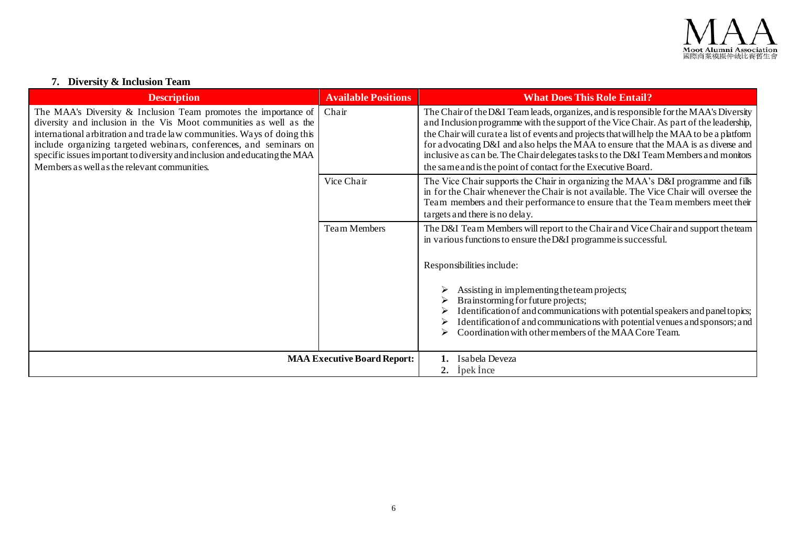

### **7. Diversity & Inclusion Team**

| <b>Description</b>                                                                                                                                                                                                                                                                                                                                                                                                   | <b>Available Positions</b>         | <b>What Does This Role Entail?</b>                                                                                                                                                                                                                                                                                                                                                                                                                                                                                            |
|----------------------------------------------------------------------------------------------------------------------------------------------------------------------------------------------------------------------------------------------------------------------------------------------------------------------------------------------------------------------------------------------------------------------|------------------------------------|-------------------------------------------------------------------------------------------------------------------------------------------------------------------------------------------------------------------------------------------------------------------------------------------------------------------------------------------------------------------------------------------------------------------------------------------------------------------------------------------------------------------------------|
| The MAA's Diversity & Inclusion Team promotes the importance of<br>diversity and inclusion in the Vis Moot communities as well as the<br>international arbitration and trade law communities. Ways of doing this<br>include organizing targeted webinars, conferences, and seminars on<br>specific issues important to diversity and inclusion and educating the MAA<br>Members as well as the relevant communities. | Chair                              | The Chair of the D&I Team leads, organizes, and is responsible for the MAA's Diversity<br>and Inclusion programme with the support of the Vice Chair. As part of the leadership,<br>the Chair will curate a list of events and projects that will help the MAA to be a platform<br>for advocating D&I and also helps the MAA to ensure that the MAA is as diverse and<br>inclusive as can be. The Chair delegates tasks to the D&I Team Members and monitors<br>the same and is the point of contact for the Executive Board. |
|                                                                                                                                                                                                                                                                                                                                                                                                                      | Vice Chair                         | The Vice Chair supports the Chair in organizing the MAA's D&I programme and fills<br>in for the Chair whenever the Chair is not available. The Vice Chair will oversee the<br>Team members and their performance to ensure that the Team members meet their<br>targets and there is no delay.                                                                                                                                                                                                                                 |
|                                                                                                                                                                                                                                                                                                                                                                                                                      | <b>Team Members</b>                | The D&I Team Members will report to the Chair and Vice Chair and support the team<br>in various functions to ensure the D&I programme is successful.                                                                                                                                                                                                                                                                                                                                                                          |
|                                                                                                                                                                                                                                                                                                                                                                                                                      |                                    | Responsibilities include:                                                                                                                                                                                                                                                                                                                                                                                                                                                                                                     |
|                                                                                                                                                                                                                                                                                                                                                                                                                      |                                    | Assisting in implementing the team projects;<br>Brainstorming for future projects;<br>Identification of and communications with potential speakers and panel topics;<br>Identification of and communications with potential venues and sponsors; and<br>Coordination with other members of the MAA Core Team.                                                                                                                                                                                                                 |
|                                                                                                                                                                                                                                                                                                                                                                                                                      | <b>MAA Executive Board Report:</b> | 1. Isabela Deveza<br>2. Ipek Ince                                                                                                                                                                                                                                                                                                                                                                                                                                                                                             |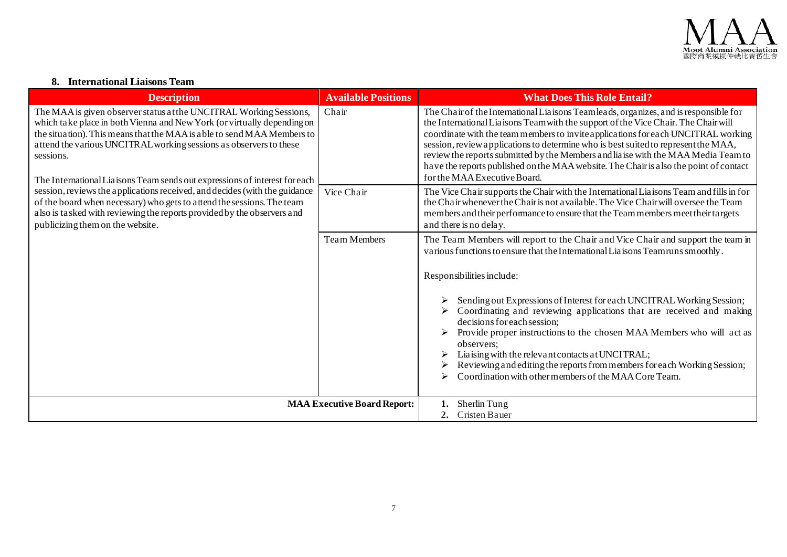

### **8. International Liaisons Team**

| <b>Description</b>                                                                                                                                                                                                                                                                                                                                                                       | <b>Available Positions</b>         | <b>What Does This Role Entail?</b>                                                                                                                                                                                                                                                                                                                                                                                                                                                                                                                                  |
|------------------------------------------------------------------------------------------------------------------------------------------------------------------------------------------------------------------------------------------------------------------------------------------------------------------------------------------------------------------------------------------|------------------------------------|---------------------------------------------------------------------------------------------------------------------------------------------------------------------------------------------------------------------------------------------------------------------------------------------------------------------------------------------------------------------------------------------------------------------------------------------------------------------------------------------------------------------------------------------------------------------|
| The MAA is given observer status at the UNCITRAL Working Sessions,<br>which take place in both Vienna and New York (or virtually depending on<br>the situation). This means that the MAA is able to send MAA Members to<br>attend the various UNCITRAL working sessions as observers to these<br>sessions.<br>The International Liaisons Team sends out expressions of interest for each | Chair                              | The Chair of the International Liaisons Teamleads, organizes, and is responsible for<br>the International Liaisons Team with the support of the Vice Chair. The Chair will<br>coordinate with the team members to invite applications for each UNCITRAL working<br>session, review applications to determine who is best suited to represent the MAA,<br>review the reports submitted by the Members and liaise with the MAA Media Team to<br>have the reports published on the MAA website. The Chair is also the point of contact<br>for the MAA Executive Board. |
| session, reviews the applications received, and decides (with the guidance<br>of the board when necessary) who gets to attend the sessions. The team<br>also is tasked with reviewing the reports provided by the observers and<br>publicizing them on the website.                                                                                                                      | Vice Chair                         | The Vice Chair supports the Chair with the International Liaisons Team and fills in for<br>the Chair whenever the Chair is not a vailable. The Vice Chair will oversee the Team<br>members and their performance to ensure that the Team members meet their targets<br>and there is no delay.                                                                                                                                                                                                                                                                       |
|                                                                                                                                                                                                                                                                                                                                                                                          | <b>Team Members</b>                | The Team Members will report to the Chair and Vice Chair and support the team in<br>various functions to ensure that the International Liaisons Teamruns smoothly.                                                                                                                                                                                                                                                                                                                                                                                                  |
|                                                                                                                                                                                                                                                                                                                                                                                          |                                    | Responsibilities include:<br>Sending out Expressions of Interest for each UNCITRAL Working Session;<br>Coordinating and reviewing applications that are received and making<br>decisions for each session;<br>Provide proper instructions to the chosen MAA Members who will act as<br>observers;<br>Liaising with the relevant contacts at UNCITRAL;<br>Reviewing and editing the reports from members for each Working Session;<br>Coordination with other members of the MAA Core Team.                                                                          |
|                                                                                                                                                                                                                                                                                                                                                                                          | <b>MAA Executive Board Report:</b> | Sherlin Tung<br>2. Cristen Bauer                                                                                                                                                                                                                                                                                                                                                                                                                                                                                                                                    |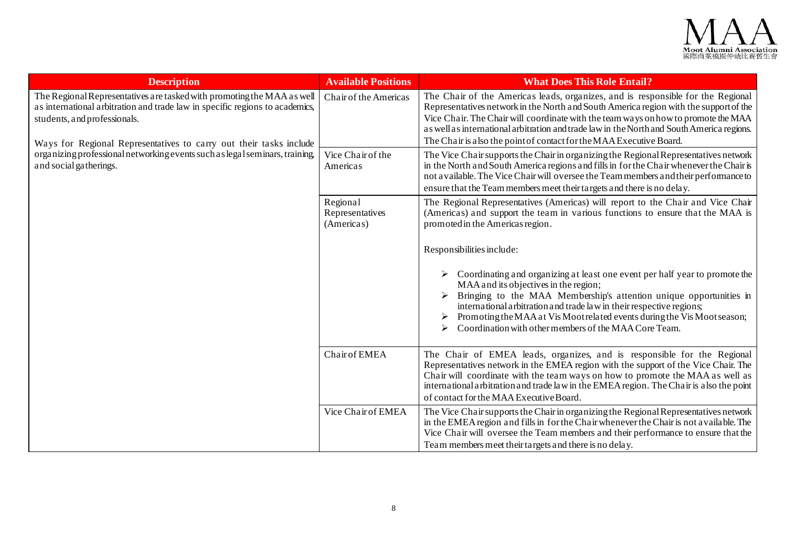

| <b>Description</b>                                                                                                                                                                                                                                                                                                                                                    | <b>Available Positions</b>                | <b>What Does This Role Entail?</b>                                                                                                                                                                                                                                                                                                                                                                                                  |
|-----------------------------------------------------------------------------------------------------------------------------------------------------------------------------------------------------------------------------------------------------------------------------------------------------------------------------------------------------------------------|-------------------------------------------|-------------------------------------------------------------------------------------------------------------------------------------------------------------------------------------------------------------------------------------------------------------------------------------------------------------------------------------------------------------------------------------------------------------------------------------|
| The Regional Representatives are tasked with promoting the MAA as well<br>as international arbitration and trade law in specific regions to academics,<br>students, and professionals.<br>Ways for Regional Representatives to carry out their tasks include<br>organizing professional networking events such as legal seminars, training,<br>and social gatherings. | Chair of the Americas                     | The Chair of the Americas leads, organizes, and is responsible for the Regional<br>Representatives network in the North and South America region with the support of the<br>Vice Chair. The Chair will coordinate with the team ways on how to promote the MAA<br>as well as international arbitration and trade law in the North and South America regions.<br>The Chair is also the point of contact for the MAA Executive Board. |
|                                                                                                                                                                                                                                                                                                                                                                       | Vice Chair of the<br>Americas             | The Vice Chair supports the Chair in organizing the Regional Representatives network<br>in the North and South America regions and fills in for the Chair whenever the Chair is<br>not a vailable. The Vice Chair will oversee the Team members and their performance to<br>ensure that the Team members meet their targets and there is no delay.                                                                                  |
|                                                                                                                                                                                                                                                                                                                                                                       | Regional<br>Representatives<br>(Americas) | The Regional Representatives (Americas) will report to the Chair and Vice Chair<br>(Americas) and support the team in various functions to ensure that the MAA is<br>promoted in the Americas region.                                                                                                                                                                                                                               |
|                                                                                                                                                                                                                                                                                                                                                                       |                                           | Responsibilities include:                                                                                                                                                                                                                                                                                                                                                                                                           |
|                                                                                                                                                                                                                                                                                                                                                                       |                                           | Coordinating and organizing at least one event per half year to promote the<br>MAA and its objectives in the region;<br>Bringing to the MAA Membership's attention unique opportunities in<br>international arbitration and trade law in their respective regions;<br>Promoting the MAA at Vis Moot related events during the Vis Moot season;<br>➤<br>Coordination with other members of the MAA Core Team.                        |
|                                                                                                                                                                                                                                                                                                                                                                       | Chair of EMEA                             | The Chair of EMEA leads, organizes, and is responsible for the Regional<br>Representatives network in the EMEA region with the support of the Vice Chair. The<br>Chair will coordinate with the team ways on how to promote the MAA as well as<br>international arbitration and trade law in the EMEA region. The Chair is also the point<br>of contact for the MAA Executive Board.                                                |
|                                                                                                                                                                                                                                                                                                                                                                       | Vice Chair of EMEA                        | The Vice Chair supports the Chair in organizing the Regional Representatives network<br>in the EMEA region and fills in for the Chair whenever the Chair is not available. The<br>Vice Chair will oversee the Team members and their performance to ensure that the<br>Team members meet their targets and there is no delay.                                                                                                       |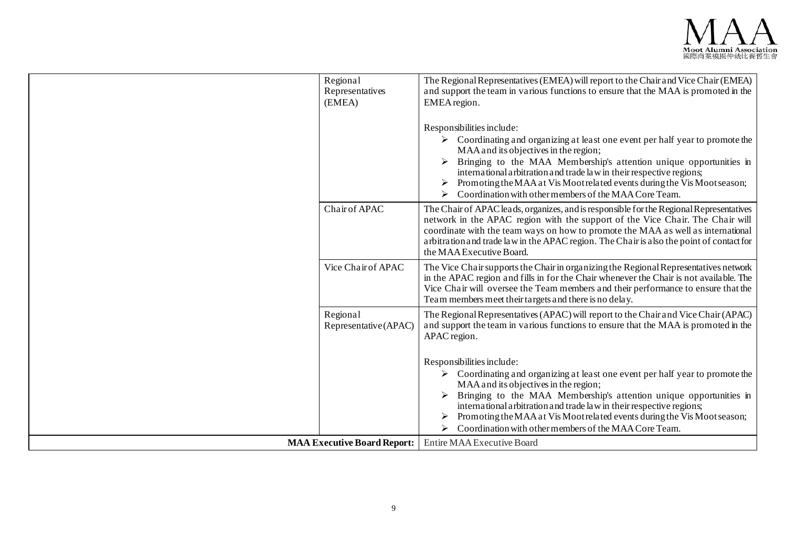

| Regional<br>Representatives<br>(EMEA) | The Regional Representatives (EMEA) will report to the Chair and Vice Chair (EMEA)<br>and support the team in various functions to ensure that the MAA is promoted in the<br>EMEA region.                                                                                                                                                                                                                                                                                      |
|---------------------------------------|--------------------------------------------------------------------------------------------------------------------------------------------------------------------------------------------------------------------------------------------------------------------------------------------------------------------------------------------------------------------------------------------------------------------------------------------------------------------------------|
|                                       | Responsibilities include:<br>$\triangleright$ Coordinating and organizing at least one event per half year to promote the<br>MAA and its objectives in the region;<br>Bringing to the MAA Membership's attention unique opportunities in<br>international arbitration and trade law in their respective regions;<br>Promoting the MAA at Vis Moot related events during the Vis Moot season;<br>Coordination with other members of the MAA Core Team.<br>➤                     |
| Chair of APAC                         | The Chair of APAC leads, organizes, and is responsible for the Regional Representatives<br>network in the APAC region with the support of the Vice Chair. The Chair will<br>coordinate with the team ways on how to promote the MAA as well as international<br>arbitration and trade law in the APAC region. The Chair is also the point of contact for<br>the MAA Executive Board.                                                                                           |
| Vice Chair of APAC                    | The Vice Chair supports the Chair in organizing the Regional Representatives network<br>in the APAC region and fills in for the Chair whenever the Chair is not available. The<br>Vice Chair will oversee the Team members and their performance to ensure that the<br>Team members meet their targets and there is no delay.                                                                                                                                                  |
| Regional<br>Representative (APAC)     | The Regional Representatives (APAC) will report to the Chair and Vice Chair (APAC)<br>and support the team in various functions to ensure that the MAA is promoted in the<br>APAC region.                                                                                                                                                                                                                                                                                      |
|                                       | Responsibilities include:<br>$\triangleright$ Coordinating and organizing at least one event per half year to promote the<br>MAA and its objectives in the region;<br>Bringing to the MAA Membership's attention unique opportunities in<br>international arbitration and trade law in their respective regions;<br>Promoting the MAA at Vis Moot related events during the Vis Moot season;<br>Coordination with other members of the MAA Core Team.<br>$\blacktriangleright$ |
| <b>MAA Executive Board Report:</b>    | Entire MAA Executive Board                                                                                                                                                                                                                                                                                                                                                                                                                                                     |